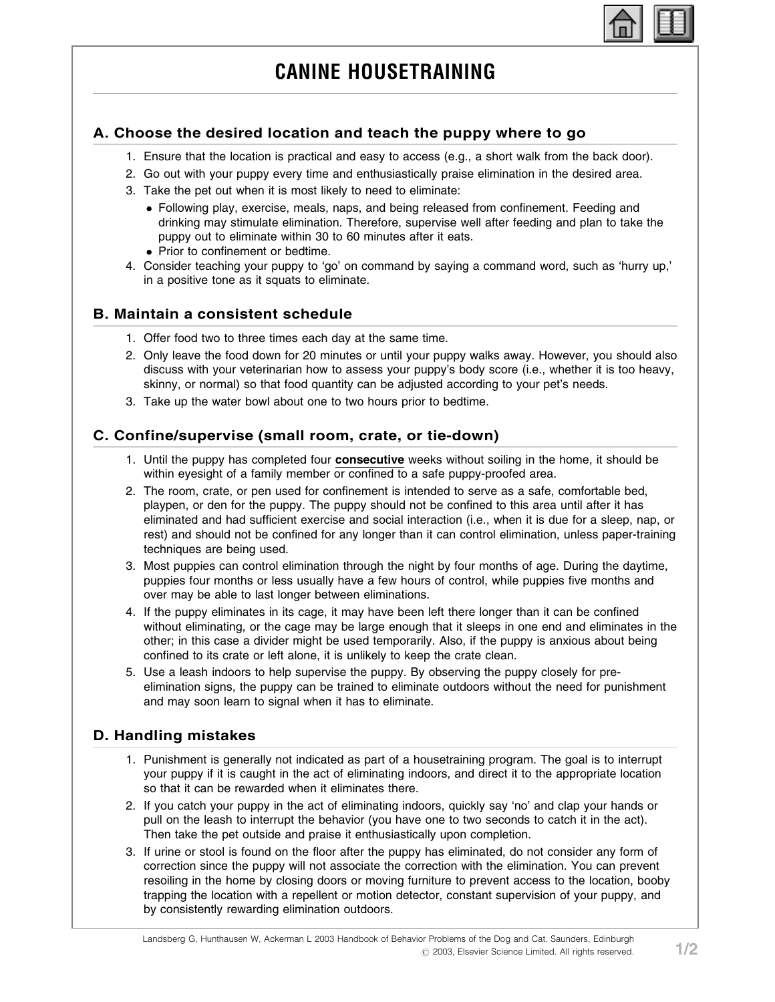

# CANINE HOUSETRAINING

## A. Choose the desired location and teach the puppy where to go

- 1. Ensure that the location is practical and easy to access (e.g., a short walk from the back door).
- 2. Go out with your puppy every time and enthusiastically praise elimination in the desired area.
- 3. Take the pet out when it is most likely to need to eliminate:
	- Following play, exercise, meals, naps, and being released from confinement. Feeding and drinking may stimulate elimination. Therefore, supervise well after feeding and plan to take the puppy out to eliminate within 30 to 60 minutes after it eats.
	- Prior to confinement or bedtime.
- 4. Consider teaching your puppy to 'go' on command by saying a command word, such as 'hurry up,' in a positive tone as it squats to eliminate.

#### B. Maintain a consistent schedule

- 1. Offer food two to three times each day at the same time.
- 2. Only leave the food down for 20 minutes or until your puppy walks away. However, you should also discuss with your veterinarian how to assess your puppy's body score (i.e., whether it is too heavy, skinny, or normal) so that food quantity can be adjusted according to your pet's needs.
- 3. Take up the water bowl about one to two hours prior to bedtime.

## C. Confine/supervise (small room, crate, or tie-down)

- 1. Until the puppy has completed four consecutive weeks without soiling in the home, it should be within eyesight of a family member or confined to a safe puppy-proofed area.
- 2. The room, crate, or pen used for confinement is intended to serve as a safe, comfortable bed, playpen, or den for the puppy. The puppy should not be confined to this area until after it has eliminated and had sufficient exercise and social interaction (i.e., when it is due for a sleep, nap, or rest) and should not be confined for any longer than it can control elimination, unless paper-training techniques are being used.
- 3. Most puppies can control elimination through the night by four months of age. During the daytime, puppies four months or less usually have a few hours of control, while puppies five months and over may be able to last longer between eliminations.
- 4. If the puppy eliminates in its cage, it may have been left there longer than it can be confined without eliminating, or the cage may be large enough that it sleeps in one end and eliminates in the other; in this case a divider might be used temporarily. Also, if the puppy is anxious about being confined to its crate or left alone, it is unlikely to keep the crate clean.
- 5. Use a leash indoors to help supervise the puppy. By observing the puppy closely for preelimination signs, the puppy can be trained to eliminate outdoors without the need for punishment and may soon learn to signal when it has to eliminate.

# D. Handling mistakes

- 1. Punishment is generally not indicated as part of a housetraining program. The goal is to interrupt your puppy if it is caught in the act of eliminating indoors, and direct it to the appropriate location so that it can be rewarded when it eliminates there.
- 2. If you catch your puppy in the act of eliminating indoors, quickly say 'no' and clap your hands or pull on the leash to interrupt the behavior (you have one to two seconds to catch it in the act). Then take the pet outside and praise it enthusiastically upon completion.
- 3. If urine or stool is found on the floor after the puppy has eliminated, do not consider any form of correction since the puppy will not associate the correction with the elimination. You can prevent resoiling in the home by closing doors or moving furniture to prevent access to the location, booby trapping the location with a repellent or motion detector, constant supervision of your puppy, and by consistently rewarding elimination outdoors.